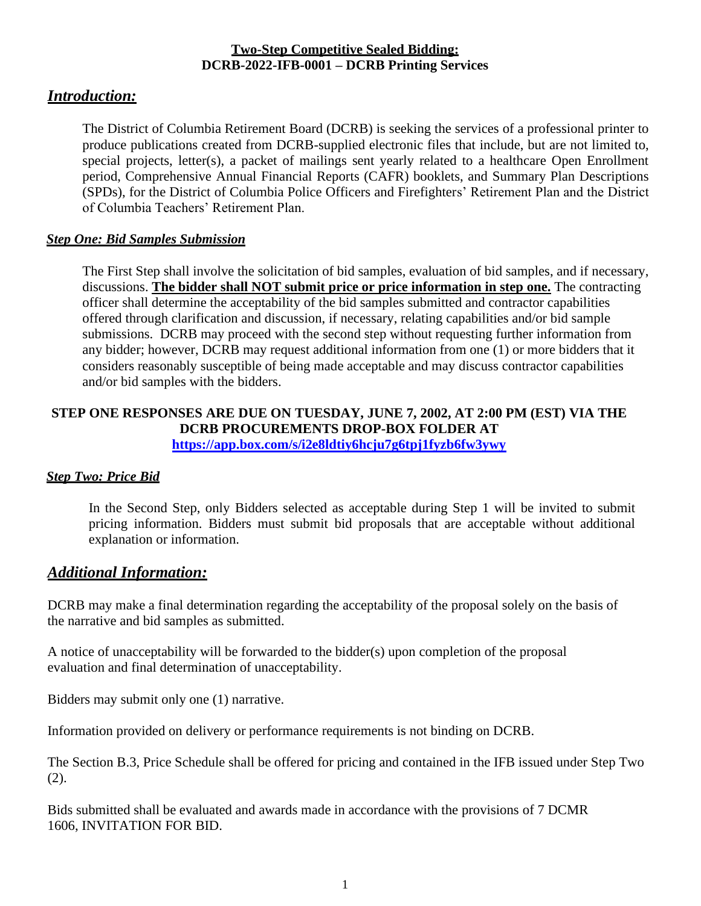#### **Two-Step Competitive Sealed Bidding: DCRB-2022-IFB-0001 – DCRB Printing Services**

# *Introduction:*

The District of Columbia Retirement Board (DCRB) is seeking the services of a professional printer to produce publications created from DCRB-supplied electronic files that include, but are not limited to, special projects, letter(s), a packet of mailings sent yearly related to a healthcare Open Enrollment period, Comprehensive Annual Financial Reports (CAFR) booklets, and Summary Plan Descriptions (SPDs), for the District of Columbia Police Officers and Firefighters' Retirement Plan and the District of Columbia Teachers' Retirement Plan.

## *Step One: Bid Samples Submission*

The First Step shall involve the solicitation of bid samples, evaluation of bid samples, and if necessary, discussions. **The bidder shall NOT submit price or price information in step one.** The contracting officer shall determine the acceptability of the bid samples submitted and contractor capabilities offered through clarification and discussion, if necessary, relating capabilities and/or bid sample submissions. DCRB may proceed with the second step without requesting further information from any bidder; however, DCRB may request additional information from one (1) or more bidders that it considers reasonably susceptible of being made acceptable and may discuss contractor capabilities and/or bid samples with the bidders.

#### **STEP ONE RESPONSES ARE DUE ON TUESDAY, JUNE 7, 2002, AT 2:00 PM (EST) VIA THE DCRB PROCUREMENTS DROP-BOX FOLDER AT <https://app.box.com/s/i2e8ldtiy6hcju7g6tpj1fyzb6fw3ywy>**

## *Step Two: Price Bid*

In the Second Step, only Bidders selected as acceptable during Step 1 will be invited to submit pricing information. Bidders must submit bid proposals that are acceptable without additional explanation or information.

## *Additional Information:*

DCRB may make a final determination regarding the acceptability of the proposal solely on the basis of the narrative and bid samples as submitted.

A notice of unacceptability will be forwarded to the bidder(s) upon completion of the proposal evaluation and final determination of unacceptability.

Bidders may submit only one (1) narrative.

Information provided on delivery or performance requirements is not binding on DCRB.

The Section B.3, Price Schedule shall be offered for pricing and contained in the IFB issued under Step Two (2).

Bids submitted shall be evaluated and awards made in accordance with the provisions of 7 DCMR 1606, INVITATION FOR BID.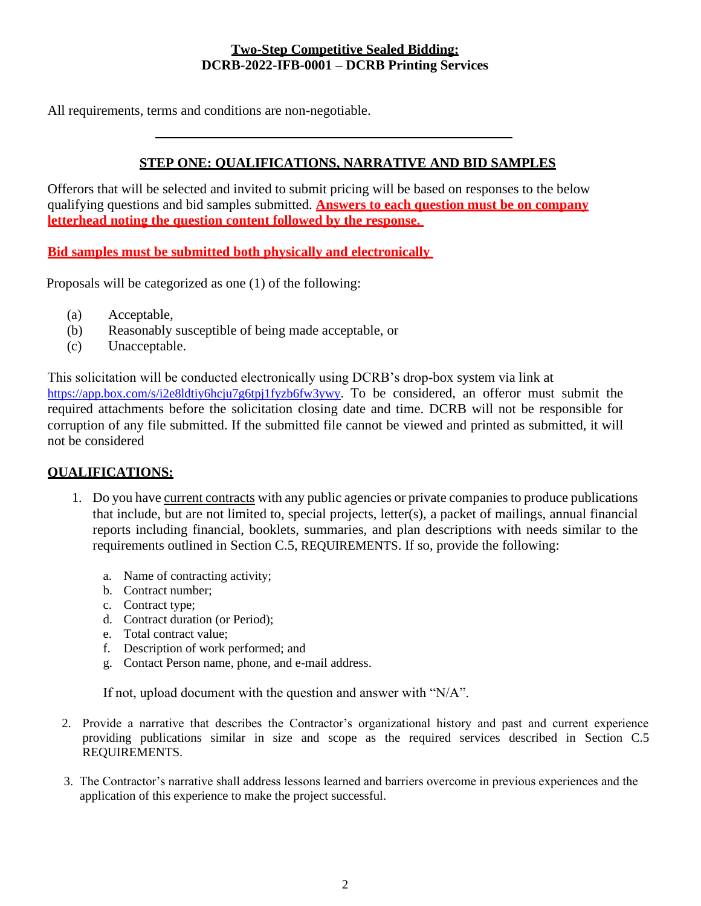#### **Two-Step Competitive Sealed Bidding: DCRB-2022-IFB-0001 – DCRB Printing Services**

All requirements, terms and conditions are non-negotiable.

## **STEP ONE: QUALIFICATIONS, NARRATIVE AND BID SAMPLES**

Offerors that will be selected and invited to submit pricing will be based on responses to the below qualifying questions and bid samples submitted. **Answers to each question must be on company letterhead noting the question content followed by the response.** 

**Bid samples must be submitted both physically and electronically** 

Proposals will be categorized as one (1) of the following:

- (a) Acceptable,
- (b) Reasonably susceptible of being made acceptable, or
- (c) Unacceptable.

This solicitation will be conducted electronically using DCRB's drop-box system via link at https://app.box.com/s/i2e8ldtiy6hcju7g6tpj1fyzb6fw3ywy</u>. To be considered, an offeror must submit the required attachments before the solicitation closing date and time. DCRB will not be responsible for corruption of any file submitted. If the submitted file cannot be viewed and printed as submitted, it will not be considered

#### **QUALIFICATIONS:**

- 1. Do you have current contracts with any public agencies or private companiesto produce publications that include, but are not limited to, special projects, letter(s), a packet of mailings, annual financial reports including financial, booklets, summaries, and plan descriptions with needs similar to the requirements outlined in Section C.5, REQUIREMENTS. If so, provide the following:
	- a. Name of contracting activity;
	- b. Contract number;
	- c. Contract type;
	- d. Contract duration (or Period);
	- e. Total contract value;
	- f. Description of work performed; and
	- g. Contact Person name, phone, and e-mail address.

If not, upload document with the question and answer with "N/A".

- 2. Provide a narrative that describes the Contractor's organizational history and past and current experience providing publications similar in size and scope as the required services described in Section C.5 REQUIREMENTS.
- 3. The Contractor's narrative shall address lessons learned and barriers overcome in previous experiences and the application of this experience to make the project successful.